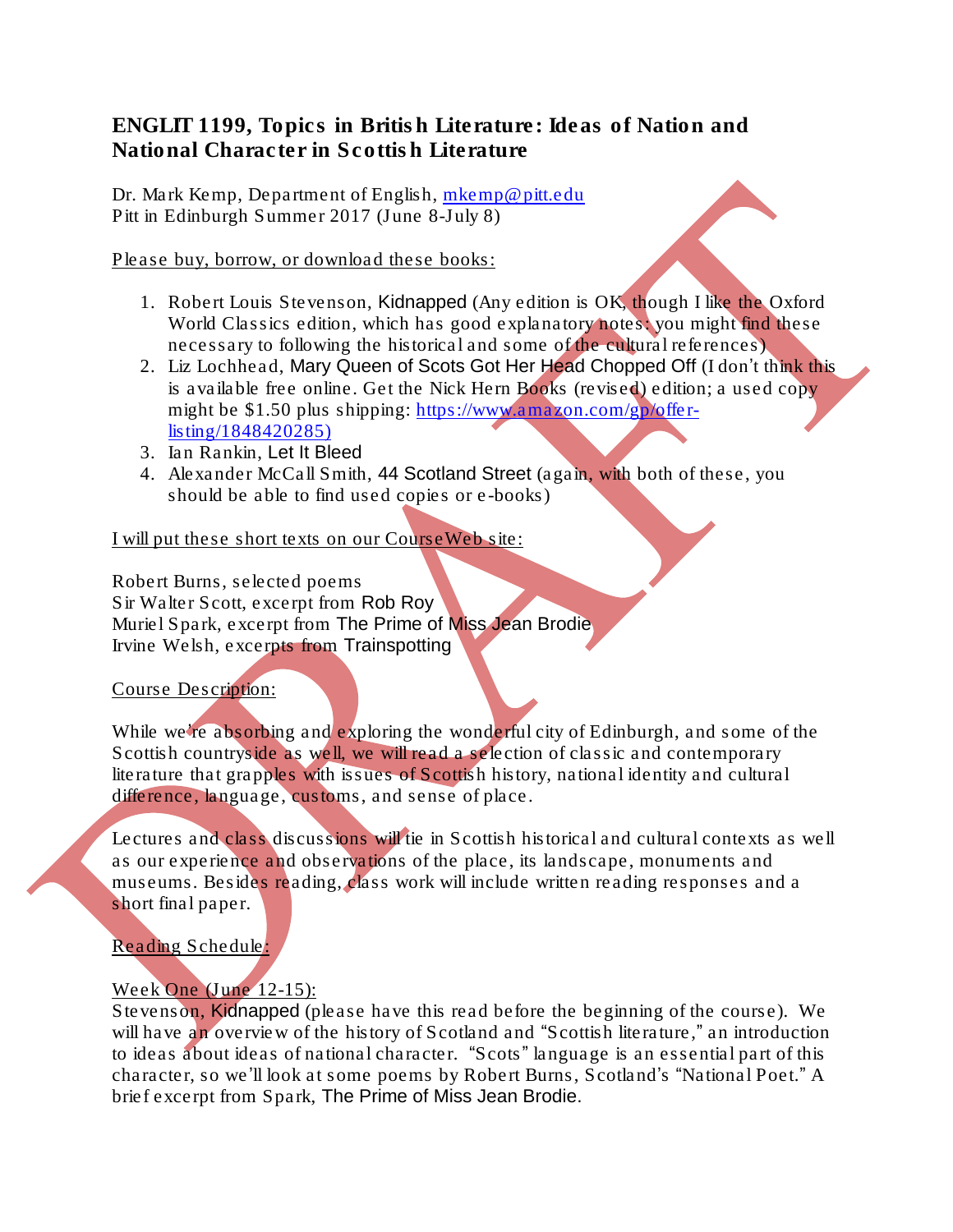ENGLIT 1199, Topics in British Literature: Ideas of Nation and National Character in Scottish Literature

Dr. Mark Kemp, Department of English, [mkemp@pitt.edu](mailto:mkemp@pitt.edu) Pitt in Edinburgh Summer 2017 (June 8-July 8)

Please buy, borrow, or download these books:

- 1. Robert Louis Stevenson, *Kidnapped* (Any edition is OK, though I like the Oxford World Classics edition, which has good explanatory notes: you might find these necessary to following the historical and some of the cultural references)
- 2. Liz Lochhead, *Mary Queen of Scots Got Her Head Chopped Off* (I don't think this is available free online. Get the Nick Hern Books (revised) edition; a used copy might be \$1.50 plus shipping: [https://www.amazon.com/gp/offer](https://www.amazon.com/gp/offer-listing/1848420285))[listing/1848420285\)](https://www.amazon.com/gp/offer-listing/1848420285))
- 3. Ian Rankin, *Let It Bleed*
- 4. Alexander McCall Smith, *44 Scotland Street* (again, with both of these, you should be able to find used copies or e-books)

I will put these short texts on our CourseWeb site:

Robert Burns, selected poems Sir Walter Scott, excerpt from *Rob Roy* Muriel Spark, excerpt from *The Prime of Miss Jean Brodie* Irvine Welsh, excerpts from *Trainspotting*

## Course Description:

While we're absorbing and exploring the wonderful city of Edinburgh, and some of the Scottish countryside as well, we will read a selection of classic and contemporary literature that grapples with issues of Scottish history, national identity and cultural difference, language, customs, and sense of place.

Lectures and class discussions will tie in Scottish historical and cultural contexts as well as our experience and observations of the place, its landscape, monuments and museums. Besides reading, class work will include written reading responses and a short final paper.

Reading Schedule:

# Week One (June 12-15):

Stevenson, *Kidnapped* (please have this read before the beginning of the course). We will have an overview of the history of Scotland and "Scottish literature," an introduction to ideas about ideas of national character. "Scots" language is an essential part of this character, so we'll look at some poems by Robert Burns, Scotland's "National Poet." A brief excerpt from Spark, *The Prime of Miss Jean Brodie.*